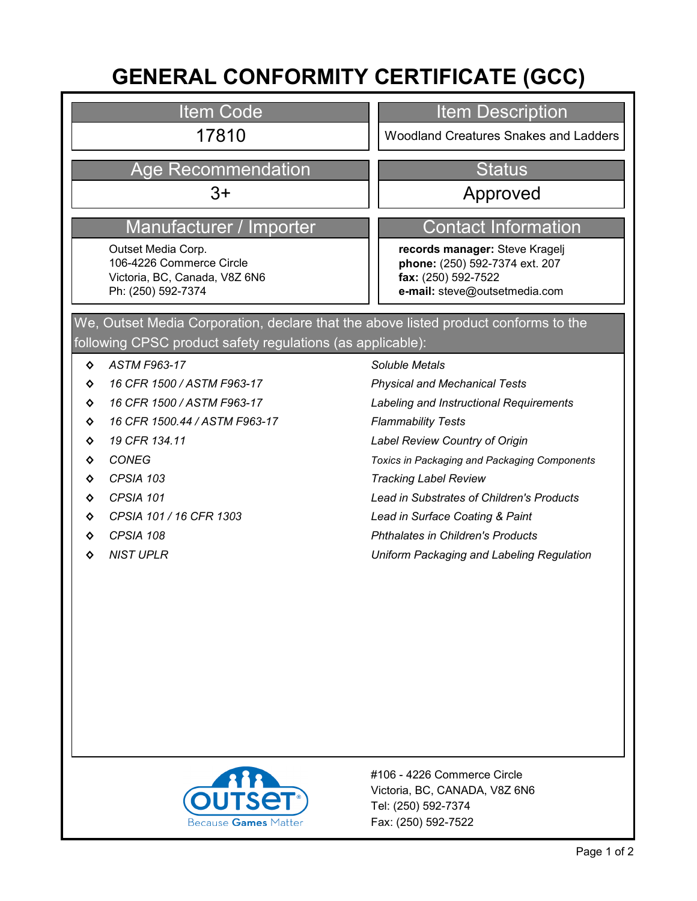# **GENERAL CONFORMITY CERTIFICATE (GCC)**

### Item Code

## Age Recommendation New Status

### Manufacturer / Importer Contact Information

Outset Media Corp. 106-4226 Commerce Circle Victoria, BC, Canada, V8Z 6N6 Ph: (250) 592-7374

### Item Description

17810 **Market Edge Arms** | Woodland Creatures Snakes and Ladders

### 3+ Approved

**records manager:** Steve Kragelj **phone:** (250) 592-7374 ext. 207 **fax:** (250) 592-7522 **e-mail:** steve@outsetmedia.com

### following CPSC product safety regulations (as applicable): We, Outset Media Corporation, declare that the above listed product conforms to the

- **◊** *ASTM F963-17*
- **◊** *16 CFR 1500 / ASTM F963-17*
- **◊** *16 CFR 1500 / ASTM F963-17*
- **◊** *16 CFR 1500.44 / ASTM F963-17*
- **◊** *19 CFR 134.11*
- **◊** *CONEG*
- **◊** *CPSIA 103*
- **◊** *CPSIA 101*
- **◊** *CPSIA 101 / 16 CFR 1303*
- **◊** *CPSIA 108*
- **◊** *NIST UPLR*

### *Soluble Metals*

*Physical and Mechanical Tests*

*Labeling and Instructional Requirements*

- *Flammability Tests*
- *Label Review Country of Origin*

*Toxics in Packaging and Packaging Components*

- *Tracking Label Review*
- *Lead in Substrates of Children's Products*
- *Lead in Surface Coating & Paint*
- *Phthalates in Children's Products*
- *Uniform Packaging and Labeling Regulation*



Fax: (250) 592-7522 Tel: (250) 592-7374 Victoria, BC, CANADA, V8Z 6N6 #106 - 4226 Commerce Circle